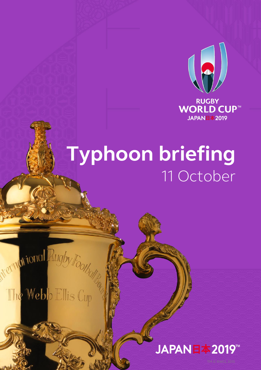

# **Typhoon briefing** 11 October

# Nernational Rugby Footballs

## The Webb Ellis Cup

## JAPAN日本2019™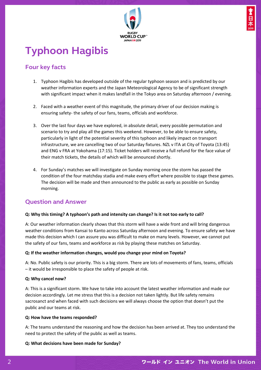

### **Typhoon Hagibis**

#### **Four key facts**

- 1. Typhoon Hagibis has developed outside of the regular typhoon season and is predicted by our weather information experts and the Japan Meteorological Agency to be of significant strength with significant impact when it makes landfall in the Tokyo area on Saturday afternoon / evening.
- 2. Faced with a weather event of this magnitude, the primary driver of our decision making is ensuring safety- the safety of our fans, teams, officials and workforce.
- 3. Over the last four days we have explored, in absolute detail, every possible permutation and scenario to try and play all the games this weekend. However, to be able to ensure safety, particularly in light of the potential severity of this typhoon and likely impact on transport infrastructure, we are cancelling two of our Saturday fixtures. NZL v ITA at City of Toyota (13:45) and ENG v FRA at Yokohama (17:15). Ticket holders will receive a full refund for the face value of their match tickets, the details of which will be announced shortly.
- 4. For Sunday's matches we will investigate on Sunday morning once the storm has passed the condition of the four matchday stadia and make every effort where possible to stage these games. The decision will be made and then announced to the public as early as possible on Sunday morning.

#### **Question and Answer**

#### **Q: Why this timing? A typhoon's path and intensity can change? Is it not too early to call?**

A: Our weather information clearly shows that this storm will have a wide front and will bring dangerous weather conditions from Kansai to Kanto across Saturday afternoon and evening. To ensure safety we have made this decision which I can assure you was difficult to make on many levels. However, we cannot put the safety of our fans, teams and workforce as risk by playing these matches on Saturday.

#### **Q: If the weather information changes, would you change your mind on Toyota?**

A: No. Public safety is our priority. This is a big storm. There are lots of movements of fans, teams, officials – it would be irresponsible to place the safety of people at risk.

#### **Q: Why cancel now?**

A: This is a significant storm. We have to take into account the latest weather information and made our decision accordingly. Let me stress that this is a decision not taken lightly. But life safety remains sacrosanct and when faced with such decisions we will always choose the option that doesn't put the public and our teams at risk.

#### **Q: How have the teams responded?**

A: The teams understand the reasoning and how the decision has been arrived at. They too understand the need to protect the safety of the public as well as teams.

#### **Q: What decisions have been made for Sunday?**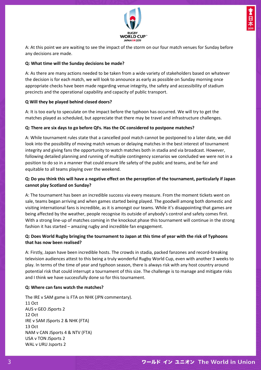

A: At this point we are waiting to see the impact of the storm on our four match venues for Sunday before any decisions are made.

#### **Q: What time will the Sunday decisions be made?**

A: As there are many actions needed to be taken from a wide variety of stakeholders based on whatever the decision is for each match, we will look to announce as early as possible on Sunday morning once appropriate checks have been made regarding venue integrity, the safety and accessibility of stadium precincts and the operational capability and capacity of public transport.

#### **Q Will they be played behind closed doors?**

A: It is too early to speculate on the impact before the typhoon has occurred. We will try to get the matches played as scheduled, but appreciate that there may be travel and infrastructure challenges.

#### **Q: There are six days to go before QFs. Has the OC considered to postpone matches?**

A: While tournament rules state that a cancelled pool match cannot be postponed to a later date, we did look into the possibility of moving match venues or delaying matches in the best interest of tournament integrity and giving fans the opportunity to watch matches both in stadia and via broadcast. However, following detailed planning and running of multiple contingency scenarios we concluded we were not in a position to do so in a manner that could ensure life safety of the public and teams, and be fair and equitable to all teams playing over the weekend.

#### **Q: Do you think this will have a negative effect on the perception of the tournament, particularly if Japan cannot play Scotland on Sunday?**

A: The tournament has been an incredible success via every measure. From the moment tickets went on sale, teams began arriving and when games started being played. The goodwill among both domestic and visiting international fans is incredible, as it is amongst our teams. While it's disappointing that games are being affected by the weather, people recognise its outside of anybody's control and safety comes first. With a strong line-up of matches coming in the knockout phase this tournament will continue in the strong fashion it has started – amazing rugby and incredible fan engagement.

#### **Q: Does World Rugby bringing the tournament to Japan at this time of year with the risk of Typhoons that has now been realised?**

A: Firstly, Japan have been incredible hosts. The crowds in stadia, packed fanzones and record-breaking television audiences attest to this being a truly wonderful Rugby World Cup, even with another 3 weeks to play. In terms of the time of year and typhoon season, there is always risk with any host country around potential risk that could interrupt a tournament of this size. The challenge is to manage and mitigate risks and I think we have successfully done so for this tournament.

#### **Q: Where can fans watch the matches?**

The IRE v SAM game is FTA on NHK (JPN commentary). 11 Oct AUS v GEO JSports 2 12 Oct IRE v SAM JSports 2 & NHK (FTA) 13 Oct NAM v CAN JSports 4 & NTV (FTA) USA v TON JSports 2 WAL v URU Jsports 2